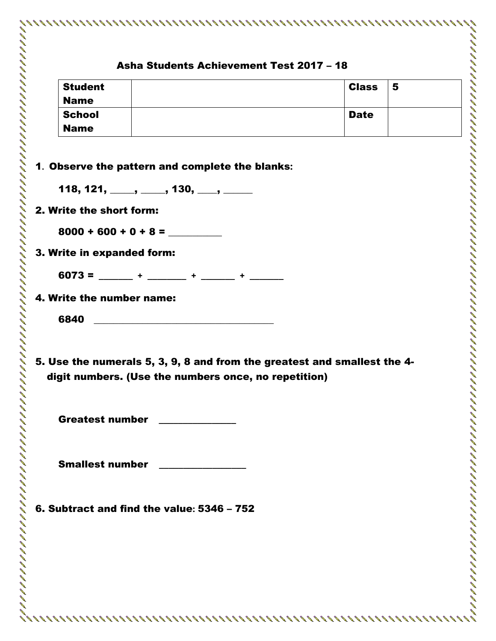| <b>Student</b><br>5<br><b>Class</b><br><b>Name</b><br><b>School</b><br><b>Date</b><br><b>Name</b><br>1. Observe the pattern and complete the blanks:<br>118, 121, ____, ____, 130, ___, ____<br>2. Write the short form:<br>$8000 + 600 + 0 + 8 =$<br>3. Write in expanded form:<br>$6073 =$ +<br>$+$ 100 $+$ 100 $+$<br>4. Write the number name:<br>6840<br>5. Use the numerals 5, 3, 9, 8 and from the greatest and smallest the 4-<br>digit numbers. (Use the numbers once, no repetition)<br><b>Greatest number</b><br><b>Smallest number</b><br>6. Subtract and find the value: 5346 - 752 |  |  |
|--------------------------------------------------------------------------------------------------------------------------------------------------------------------------------------------------------------------------------------------------------------------------------------------------------------------------------------------------------------------------------------------------------------------------------------------------------------------------------------------------------------------------------------------------------------------------------------------------|--|--|
|                                                                                                                                                                                                                                                                                                                                                                                                                                                                                                                                                                                                  |  |  |
|                                                                                                                                                                                                                                                                                                                                                                                                                                                                                                                                                                                                  |  |  |
|                                                                                                                                                                                                                                                                                                                                                                                                                                                                                                                                                                                                  |  |  |
|                                                                                                                                                                                                                                                                                                                                                                                                                                                                                                                                                                                                  |  |  |
|                                                                                                                                                                                                                                                                                                                                                                                                                                                                                                                                                                                                  |  |  |
|                                                                                                                                                                                                                                                                                                                                                                                                                                                                                                                                                                                                  |  |  |
|                                                                                                                                                                                                                                                                                                                                                                                                                                                                                                                                                                                                  |  |  |
|                                                                                                                                                                                                                                                                                                                                                                                                                                                                                                                                                                                                  |  |  |
|                                                                                                                                                                                                                                                                                                                                                                                                                                                                                                                                                                                                  |  |  |
|                                                                                                                                                                                                                                                                                                                                                                                                                                                                                                                                                                                                  |  |  |
|                                                                                                                                                                                                                                                                                                                                                                                                                                                                                                                                                                                                  |  |  |
|                                                                                                                                                                                                                                                                                                                                                                                                                                                                                                                                                                                                  |  |  |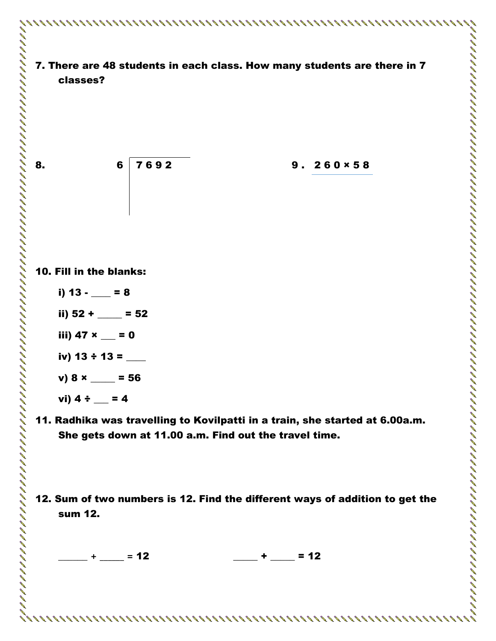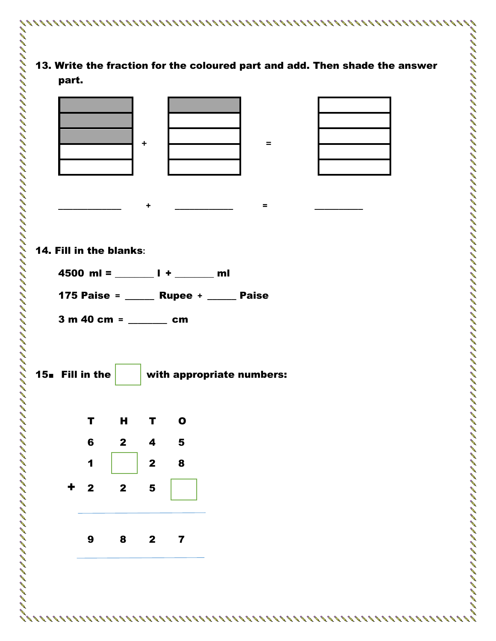